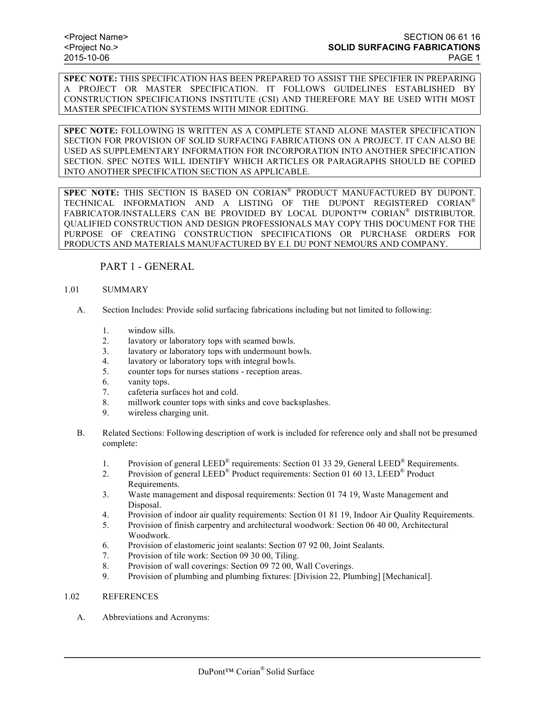**SPEC NOTE:** THIS SPECIFICATION HAS BEEN PREPARED TO ASSIST THE SPECIFIER IN PREPARING A PROJECT OR MASTER SPECIFICATION. IT FOLLOWS GUIDELINES ESTABLISHED BY CONSTRUCTION SPECIFICATIONS INSTITUTE (CSI) AND THEREFORE MAY BE USED WITH MOST MASTER SPECIFICATION SYSTEMS WITH MINOR EDITING.

**SPEC NOTE:** FOLLOWING IS WRITTEN AS A COMPLETE STAND ALONE MASTER SPECIFICATION SECTION FOR PROVISION OF SOLID SURFACING FABRICATIONS ON A PROJECT. IT CAN ALSO BE USED AS SUPPLEMENTARY INFORMATION FOR INCORPORATION INTO ANOTHER SPECIFICATION SECTION. SPEC NOTES WILL IDENTIFY WHICH ARTICLES OR PARAGRAPHS SHOULD BE COPIED INTO ANOTHER SPECIFICATION SECTION AS APPLICABLE.

**SPEC NOTE:** THIS SECTION IS BASED ON CORIAN® PRODUCT MANUFACTURED BY DUPONT. TECHNICAL INFORMATION AND A LISTING OF THE DUPONT REGISTERED CORIAN® FABRICATOR/INSTALLERS CAN BE PROVIDED BY LOCAL DUPONT™ CORIAN® DISTRIBUTOR. QUALIFIED CONSTRUCTION AND DESIGN PROFESSIONALS MAY COPY THIS DOCUMENT FOR THE PURPOSE OF CREATING CONSTRUCTION SPECIFICATIONS OR PURCHASE ORDERS FOR PRODUCTS AND MATERIALS MANUFACTURED BY E.I. DU PONT NEMOURS AND COMPANY.

PART 1 - GENERAL

### 1.01 SUMMARY

- A. Section Includes: Provide solid surfacing fabrications including but not limited to following:
	- 1. window sills.
	- 2. lavatory or laboratory tops with seamed bowls.
	- 3. lavatory or laboratory tops with undermount bowls.
	- 4. lavatory or laboratory tops with integral bowls.
	- 5. counter tops for nurses stations reception areas.
	- 6. vanity tops.
	- 7. cafeteria surfaces hot and cold.
	- 8. millwork counter tops with sinks and cove backsplashes.
	- 9. wireless charging unit.
- B. Related Sections: Following description of work is included for reference only and shall not be presumed complete:
	- 1. Provision of general LEED<sup>®</sup> requirements: Section 01 33 29, General LEED<sup>®</sup> Requirements.
	- 2. Provision of general LEED<sup>®</sup> Product requirements: Section 01 60 13, LEED<sup>®</sup> Product Requirements.
	- 3. Waste management and disposal requirements: Section 01 74 19, Waste Management and Disposal.
	- 4. Provision of indoor air quality requirements: Section 01 81 19, Indoor Air Quality Requirements.
	- 5. Provision of finish carpentry and architectural woodwork: Section 06 40 00, Architectural Woodwork.
	- 6. Provision of elastomeric joint sealants: Section 07 92 00, Joint Sealants.
	- 7. Provision of tile work: Section 09 30 00, Tiling.
	- 8. Provision of wall coverings: Section 09 72 00, Wall Coverings.
	- 9. Provision of plumbing and plumbing fixtures: [Division 22, Plumbing] [Mechanical].

#### 1.02 REFERENCES

A. Abbreviations and Acronyms: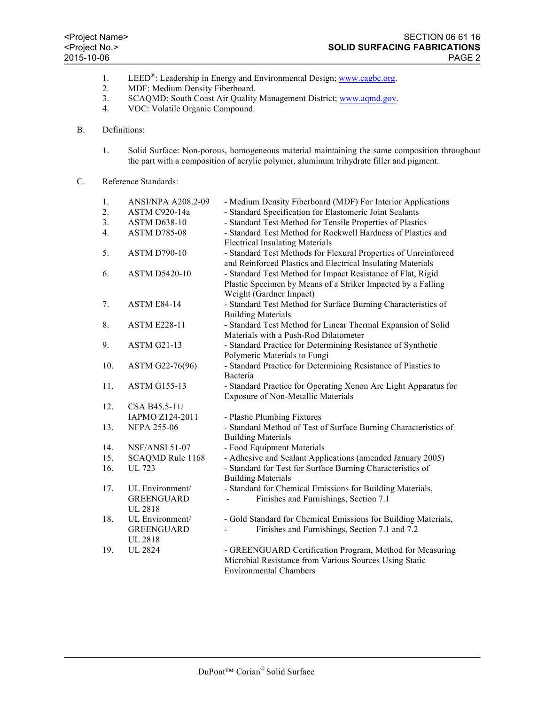- 1. LEED<sup>®</sup>: Leadership in Energy and Environmental Design; www.cagbc.org.
- 2. MDF: Medium Density Fiberboard.
- 3. SCAQMD: South Coast Air Quality Management District; www.aqmd.gov.
- 4. VOC: Volatile Organic Compound.

## B. Definitions:

1. Solid Surface: Non-porous, homogeneous material maintaining the same composition throughout the part with a composition of acrylic polymer, aluminum trihydrate filler and pigment.

# C. Reference Standards:

| 1.  | <b>ANSI/NPA A208.2-09</b> | - Medium Density Fiberboard (MDF) For Interior Applications     |  |  |
|-----|---------------------------|-----------------------------------------------------------------|--|--|
| 2.  | <b>ASTM C920-14a</b>      | - Standard Specification for Elastomeric Joint Sealants         |  |  |
| 3.  | <b>ASTM D638-10</b>       | - Standard Test Method for Tensile Properties of Plastics       |  |  |
| 4.  | <b>ASTM D785-08</b>       | - Standard Test Method for Rockwell Hardness of Plastics and    |  |  |
|     |                           | <b>Electrical Insulating Materials</b>                          |  |  |
| 5.  | <b>ASTM D790-10</b>       | - Standard Test Methods for Flexural Properties of Unreinforced |  |  |
|     |                           | and Reinforced Plastics and Electrical Insulating Materials     |  |  |
| 6.  | <b>ASTM D5420-10</b>      | - Standard Test Method for Impact Resistance of Flat, Rigid     |  |  |
|     |                           | Plastic Specimen by Means of a Striker Impacted by a Falling    |  |  |
|     |                           | Weight (Gardner Impact)                                         |  |  |
| 7.  | <b>ASTM E84-14</b>        | - Standard Test Method for Surface Burning Characteristics of   |  |  |
|     |                           | <b>Building Materials</b>                                       |  |  |
| 8.  | <b>ASTM E228-11</b>       | - Standard Test Method for Linear Thermal Expansion of Solid    |  |  |
|     |                           | Materials with a Push-Rod Dilatometer                           |  |  |
| 9.  | <b>ASTM G21-13</b>        | - Standard Practice for Determining Resistance of Synthetic     |  |  |
|     |                           | Polymeric Materials to Fungi                                    |  |  |
| 10. | ASTM G22-76(96)           | - Standard Practice for Determining Resistance of Plastics to   |  |  |
|     |                           | Bacteria                                                        |  |  |
| 11. | <b>ASTM G155-13</b>       | - Standard Practice for Operating Xenon Arc Light Apparatus for |  |  |
|     |                           | <b>Exposure of Non-Metallic Materials</b>                       |  |  |
| 12. | CSA B45.5-11/             |                                                                 |  |  |
|     | IAPMO Z124-2011           | - Plastic Plumbing Fixtures                                     |  |  |
| 13. | <b>NFPA 255-06</b>        | - Standard Method of Test of Surface Burning Characteristics of |  |  |
|     |                           | <b>Building Materials</b>                                       |  |  |
| 14. | <b>NSF/ANSI 51-07</b>     | - Food Equipment Materials                                      |  |  |
| 15. | SCAQMD Rule 1168          | - Adhesive and Sealant Applications (amended January 2005)      |  |  |
| 16. | <b>UL 723</b>             | - Standard for Test for Surface Burning Characteristics of      |  |  |
|     |                           | <b>Building Materials</b>                                       |  |  |
| 17. | UL Environment/           | - Standard for Chemical Emissions for Building Materials,       |  |  |
|     | <b>GREENGUARD</b>         | Finishes and Furnishings, Section 7.1                           |  |  |
|     | <b>UL 2818</b>            |                                                                 |  |  |
| 18. | UL Environment/           | - Gold Standard for Chemical Emissions for Building Materials,  |  |  |
|     | <b>GREENGUARD</b>         | Finishes and Furnishings, Section 7.1 and 7.2                   |  |  |
|     | <b>UL 2818</b>            |                                                                 |  |  |
| 19. | <b>UL 2824</b>            | - GREENGUARD Certification Program, Method for Measuring        |  |  |
|     |                           | Microbial Resistance from Various Sources Using Static          |  |  |
|     |                           | <b>Environmental Chambers</b>                                   |  |  |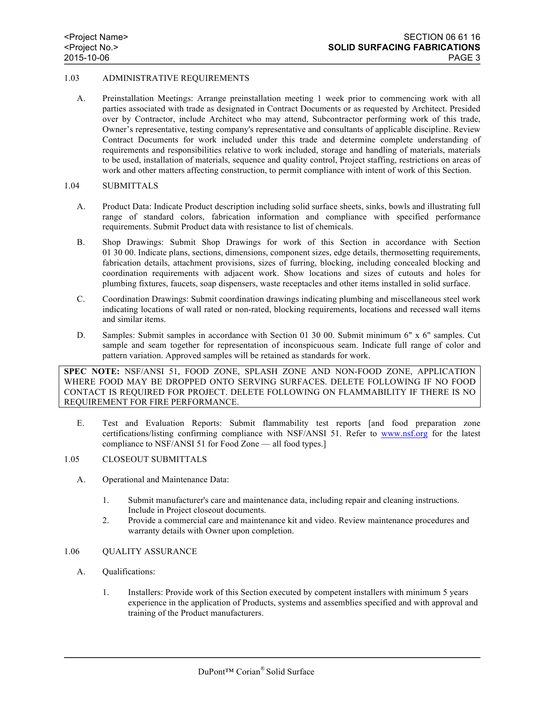## 1.03 ADMINISTRATIVE REQUIREMENTS

A. Preinstallation Meetings: Arrange preinstallation meeting 1 week prior to commencing work with all parties associated with trade as designated in Contract Documents or as requested by Architect. Presided over by Contractor, include Architect who may attend, Subcontractor performing work of this trade, Owner's representative, testing company's representative and consultants of applicable discipline. Review Contract Documents for work included under this trade and determine complete understanding of requirements and responsibilities relative to work included, storage and handling of materials, materials to be used, installation of materials, sequence and quality control, Project staffing, restrictions on areas of work and other matters affecting construction, to permit compliance with intent of work of this Section.

#### 1.04 SUBMITTALS

- A. Product Data: Indicate Product description including solid surface sheets, sinks, bowls and illustrating full range of standard colors, fabrication information and compliance with specified performance requirements. Submit Product data with resistance to list of chemicals.
- B. Shop Drawings: Submit Shop Drawings for work of this Section in accordance with Section 01 30 00. Indicate plans, sections, dimensions, component sizes, edge details, thermosetting requirements, fabrication details, attachment provisions, sizes of furring, blocking, including concealed blocking and coordination requirements with adjacent work. Show locations and sizes of cutouts and holes for plumbing fixtures, faucets, soap dispensers, waste receptacles and other items installed in solid surface.
- C. Coordination Drawings: Submit coordination drawings indicating plumbing and miscellaneous steel work indicating locations of wall rated or non-rated, blocking requirements, locations and recessed wall items and similar items.
- D. Samples: Submit samples in accordance with Section 01 30 00. Submit minimum 6" x 6" samples. Cut sample and seam together for representation of inconspicuous seam. Indicate full range of color and pattern variation. Approved samples will be retained as standards for work.

**SPEC NOTE:** NSF/ANSI 51, FOOD ZONE, SPLASH ZONE AND NON-FOOD ZONE, APPLICATION WHERE FOOD MAY BE DROPPED ONTO SERVING SURFACES. DELETE FOLLOWING IF NO FOOD CONTACT IS REQUIRED FOR PROJECT. DELETE FOLLOWING ON FLAMMABILITY IF THERE IS NO REQUIREMENT FOR FIRE PERFORMANCE.

E. Test and Evaluation Reports: Submit flammability test reports [and food preparation zone certifications/listing confirming compliance with NSF/ANSI 51. Refer to www.nsf.org for the latest compliance to NSF/ANSI 51 for Food Zone — all food types.]

#### 1.05 CLOSEOUT SUBMITTALS

- A. Operational and Maintenance Data:
	- 1. Submit manufacturer's care and maintenance data, including repair and cleaning instructions. Include in Project closeout documents.
	- 2. Provide a commercial care and maintenance kit and video. Review maintenance procedures and warranty details with Owner upon completion.

### 1.06 QUALITY ASSURANCE

- A. Qualifications:
	- 1. Installers: Provide work of this Section executed by competent installers with minimum 5 years experience in the application of Products, systems and assemblies specified and with approval and training of the Product manufacturers.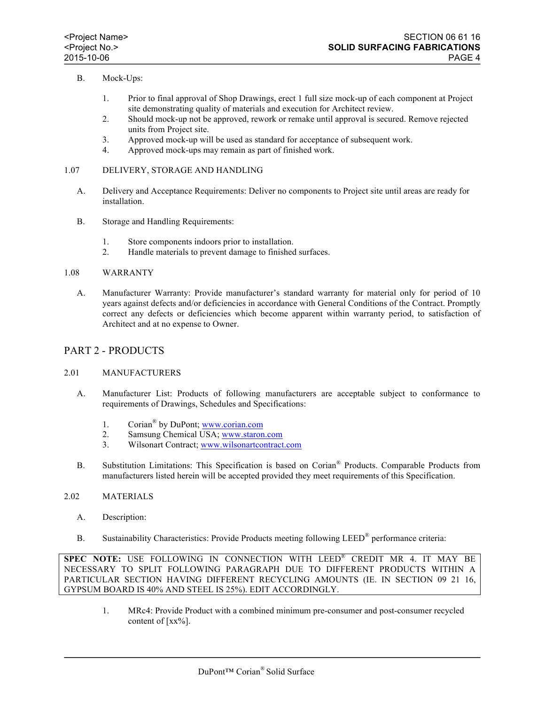## B. Mock-Ups:

- 1. Prior to final approval of Shop Drawings, erect 1 full size mock-up of each component at Project site demonstrating quality of materials and execution for Architect review.
- 2. Should mock-up not be approved, rework or remake until approval is secured. Remove rejected units from Project site.
- 3. Approved mock-up will be used as standard for acceptance of subsequent work.
- 4. Approved mock-ups may remain as part of finished work.
- 1.07 DELIVERY, STORAGE AND HANDLING
	- A. Delivery and Acceptance Requirements: Deliver no components to Project site until areas are ready for installation.
	- B. Storage and Handling Requirements:
		- 1. Store components indoors prior to installation.
		- 2. Handle materials to prevent damage to finished surfaces.

#### 1.08 WARRANTY

A. Manufacturer Warranty: Provide manufacturer's standard warranty for material only for period of 10 years against defects and/or deficiencies in accordance with General Conditions of the Contract. Promptly correct any defects or deficiencies which become apparent within warranty period, to satisfaction of Architect and at no expense to Owner.

## PART 2 - PRODUCTS

### 2.01 MANUFACTURERS

- A. Manufacturer List: Products of following manufacturers are acceptable subject to conformance to requirements of Drawings, Schedules and Specifications:
	- 1. Corian® by DuPont; www.corian.com
	- 2. Samsung Chemical USA; www.staron.com
	- 3. Wilsonart Contract; www.wilsonartcontract.com
- B. Substitution Limitations: This Specification is based on Corian® Products. Comparable Products from manufacturers listed herein will be accepted provided they meet requirements of this Specification.

### 2.02 MATERIALS

- A. Description:
- B. Sustainability Characteristics: Provide Products meeting following LEED® performance criteria:

**SPEC NOTE:** USE FOLLOWING IN CONNECTION WITH LEED® CREDIT MR 4. IT MAY BE NECESSARY TO SPLIT FOLLOWING PARAGRAPH DUE TO DIFFERENT PRODUCTS WITHIN A PARTICULAR SECTION HAVING DIFFERENT RECYCLING AMOUNTS (IE. IN SECTION 09 21 16, GYPSUM BOARD IS 40% AND STEEL IS 25%). EDIT ACCORDINGLY.

1. MRc4: Provide Product with a combined minimum pre-consumer and post-consumer recycled content of [xx%].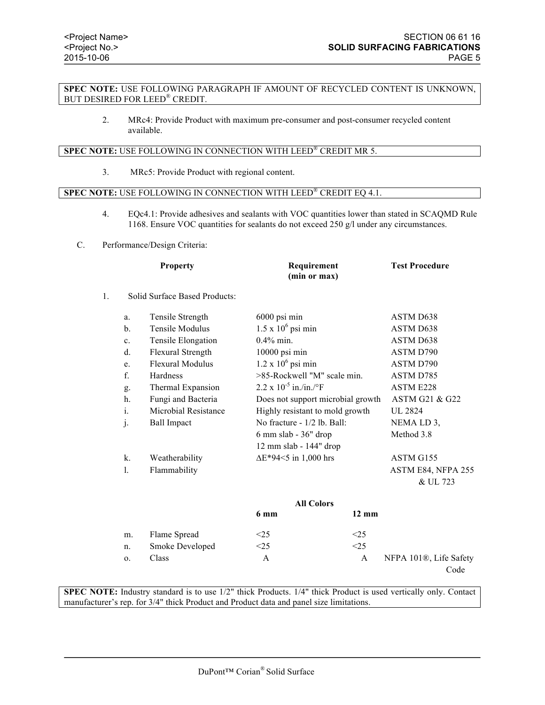### **SPEC NOTE:** USE FOLLOWING PARAGRAPH IF AMOUNT OF RECYCLED CONTENT IS UNKNOWN, BUT DESIRED FOR LEED® CREDIT.

2. MRc4: Provide Product with maximum pre-consumer and post-consumer recycled content available.

### **SPEC NOTE:** USE FOLLOWING IN CONNECTION WITH LEED® CREDIT MR 5.

3. MRc5: Provide Product with regional content.

## **SPEC NOTE:** USE FOLLOWING IN CONNECTION WITH LEED® CREDIT EQ 4.1.

- 4. EQc4.1: Provide adhesives and sealants with VOC quantities lower than stated in SCAQMD Rule 1168. Ensure VOC quantities for sealants do not exceed 250 g/l under any circumstances.
- C. Performance/Design Criteria:

|                | <b>Property</b> |                               | Requirement<br>(min or max)       | <b>Test Procedure</b> |
|----------------|-----------------|-------------------------------|-----------------------------------|-----------------------|
| $\mathbf{1}$ . |                 | Solid Surface Based Products: |                                   |                       |
|                | a.              | Tensile Strength              | 6000 psi min                      | ASTM D638             |
|                | $\mathbf{b}$ .  | Tensile Modulus               | $1.5 \times 10^6$ psi min         | ASTM D638             |
|                | $\mathbf{c}$ .  | Tensile Elongation            | $0.4\%$ min.                      | ASTM D638             |
|                | $d_{\cdot}$     | Flexural Strength             | 10000 psi min                     | ASTM D790             |
|                | e.              | <b>Flexural Modulus</b>       | $1.2 \times 10^6$ psi min         | ASTM D790             |
|                | $f_{\cdot}$     | Hardness                      | >85-Rockwell "M" scale min.       | ASTM D785             |
|                | g.              | Thermal Expansion             | $2.2 \times 10^{-5}$ in /in /°F   | ASTM E228             |
|                | h.              | Fungi and Bacteria            | Does not support microbial growth | ASTM G21 & G22        |
|                | i.              | Microbial Resistance          | Highly resistant to mold growth   | UL 2824               |
|                | j.              | <b>Ball Impact</b>            | No fracture - 1/2 lb. Ball:       | NEMA LD 3,            |
|                |                 |                               | $6 \text{ mm slab} - 36"$ drop    | Method 3.8            |
|                |                 |                               | 12 mm slab - 144" drop            |                       |
|                | $\mathbf{k}$ .  | Weatherability                | $\Delta E^*$ 94<5 in 1,000 hrs    | ASTM G155             |
|                | $\mathbf{1}$ .  | Flammability                  |                                   | ASTM E84, NFPA 255    |
|                |                 |                               |                                   | & UL 723              |
|                |                 |                               | <b>All Colors</b>                 |                       |

|    |                 | 6 mm   | All Colors<br>$12 \text{ mm}$ |                                     |
|----|-----------------|--------|-------------------------------|-------------------------------------|
| m. | Flame Spread    | $<$ 25 | $<$ 25                        |                                     |
| n. | Smoke Developed | <25    | <25                           |                                     |
| 0. | Class           | А      | A                             | NFPA 101 <sup>®</sup> , Life Safety |
|    |                 |        |                               | Code                                |

**SPEC NOTE:** Industry standard is to use  $1/2$ " thick Products.  $1/4$ " thick Product is used vertically only. Contact manufacturer's rep. for 3/4" thick Product and Product data and panel size limitations.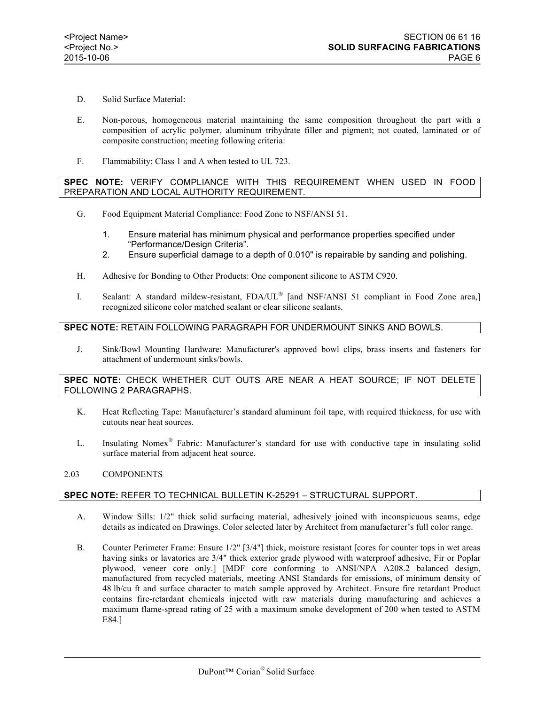- D. Solid Surface Material:
- E. Non-porous, homogeneous material maintaining the same composition throughout the part with a composition of acrylic polymer, aluminum trihydrate filler and pigment; not coated, laminated or of composite construction; meeting following criteria:
- F. Flammability: Class 1 and A when tested to UL 723.

## **SPEC NOTE:** VERIFY COMPLIANCE WITH THIS REQUIREMENT WHEN USED IN FOOD PREPARATION AND LOCAL AUTHORITY REQUIREMENT.

- G. Food Equipment Material Compliance: Food Zone to NSF/ANSI 51.
	- 1. Ensure material has minimum physical and performance properties specified under "Performance/Design Criteria".
	- 2. Ensure superficial damage to a depth of 0.010" is repairable by sanding and polishing.
- H. Adhesive for Bonding to Other Products: One component silicone to ASTM C920.
- I. Sealant: A standard mildew-resistant, FDA/UL® [and NSF/ANSI 51 compliant in Food Zone area,] recognized silicone color matched sealant or clear silicone sealants.

## **SPEC NOTE:** RETAIN FOLLOWING PARAGRAPH FOR UNDERMOUNT SINKS AND BOWLS.

J. Sink/Bowl Mounting Hardware: Manufacturer's approved bowl clips, brass inserts and fasteners for attachment of undermount sinks/bowls.

### **SPEC NOTE:** CHECK WHETHER CUT OUTS ARE NEAR A HEAT SOURCE; IF NOT DELETE FOLLOWING 2 PARAGRAPHS.

- K. Heat Reflecting Tape: Manufacturer's standard aluminum foil tape, with required thickness, for use with cutouts near heat sources.
- L. Insulating Nomex® Fabric: Manufacturer's standard for use with conductive tape in insulating solid surface material from adjacent heat source.

### 2.03 COMPONENTS

# **SPEC NOTE:** REFER TO TECHNICAL BULLETIN K-25291 – STRUCTURAL SUPPORT.

- A. Window Sills: 1/2" thick solid surfacing material, adhesively joined with inconspicuous seams, edge details as indicated on Drawings. Color selected later by Architect from manufacturer's full color range.
- B. Counter Perimeter Frame: Ensure 1/2" [3/4"] thick, moisture resistant [cores for counter tops in wet areas having sinks or lavatories are 3/4" thick exterior grade plywood with waterproof adhesive, Fir or Poplar plywood, veneer core only.] [MDF core conforming to ANSI/NPA A208.2 balanced design, manufactured from recycled materials, meeting ANSI Standards for emissions, of minimum density of 48 lb/cu ft and surface character to match sample approved by Architect. Ensure fire retardant Product contains fire-retardant chemicals injected with raw materials during manufacturing and achieves a maximum flame-spread rating of 25 with a maximum smoke development of 200 when tested to ASTM E84.]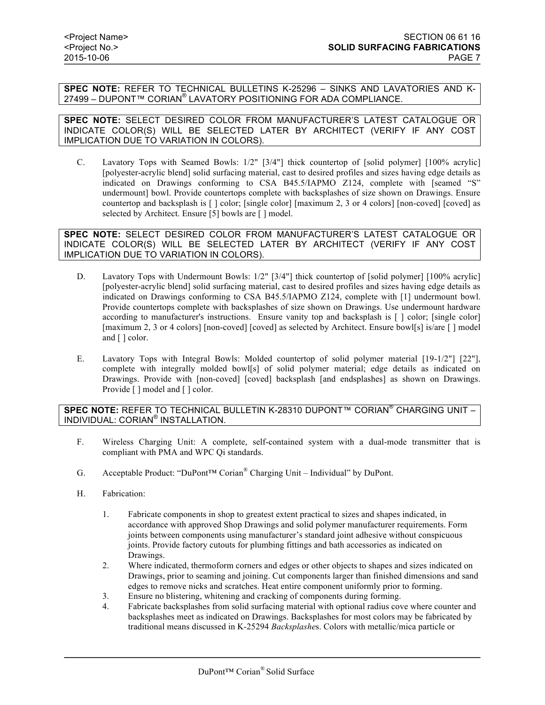**SPEC NOTE:** REFER TO TECHNICAL BULLETINS K-25296 – SINKS AND LAVATORIES AND K-27499 – DUPONT™ CORIAN® LAVATORY POSITIONING FOR ADA COMPLIANCE.

**SPEC NOTE:** SELECT DESIRED COLOR FROM MANUFACTURER'S LATEST CATALOGUE OR INDICATE COLOR(S) WILL BE SELECTED LATER BY ARCHITECT (VERIFY IF ANY COST IMPLICATION DUE TO VARIATION IN COLORS).

C. Lavatory Tops with Seamed Bowls: 1/2" [3/4"] thick countertop of [solid polymer] [100% acrylic] [polyester-acrylic blend] solid surfacing material, cast to desired profiles and sizes having edge details as indicated on Drawings conforming to CSA B45.5/IAPMO Z124, complete with [seamed "S" undermount] bowl. Provide countertops complete with backsplashes of size shown on Drawings. Ensure countertop and backsplash is [ ] color; [single color] [maximum 2, 3 or 4 colors] [non-coved] [coved] as selected by Architect. Ensure [5] bowls are [ ] model.

**SPEC NOTE:** SELECT DESIRED COLOR FROM MANUFACTURER'S LATEST CATALOGUE OR INDICATE COLOR(S) WILL BE SELECTED LATER BY ARCHITECT (VERIFY IF ANY COST IMPLICATION DUE TO VARIATION IN COLORS).

- D. Lavatory Tops with Undermount Bowls: 1/2" [3/4"] thick countertop of [solid polymer] [100% acrylic] [polyester-acrylic blend] solid surfacing material, cast to desired profiles and sizes having edge details as indicated on Drawings conforming to CSA B45.5/IAPMO Z124, complete with [1] undermount bowl. Provide countertops complete with backsplashes of size shown on Drawings. Use undermount hardware according to manufacturer's instructions. Ensure vanity top and backsplash is [ ] color; [single color] [maximum 2, 3 or 4 colors] [non-coved] [coved] as selected by Architect. Ensure bowl[s] is/are [] model and [ ] color.
- E. Lavatory Tops with Integral Bowls: Molded countertop of solid polymer material [19-1/2"] [22"], complete with integrally molded bowl[s] of solid polymer material; edge details as indicated on Drawings. Provide with [non-coved] [coved] backsplash [and endsplashes] as shown on Drawings. Provide [ ] model and [ ] color.

### **SPEC NOTE:** REFER TO TECHNICAL BULLETIN K-28310 DUPONT™ CORIAN® CHARGING UNIT – INDIVIDUAL: CORIAN® INSTALLATION.

- F. Wireless Charging Unit: A complete, self-contained system with a dual-mode transmitter that is compliant with PMA and WPC Qi standards.
- G. Acceptable Product: "DuPont™ Corian® Charging Unit Individual" by DuPont.
- H. Fabrication:
	- 1. Fabricate components in shop to greatest extent practical to sizes and shapes indicated, in accordance with approved Shop Drawings and solid polymer manufacturer requirements. Form joints between components using manufacturer's standard joint adhesive without conspicuous joints. Provide factory cutouts for plumbing fittings and bath accessories as indicated on Drawings.
	- 2. Where indicated, thermoform corners and edges or other objects to shapes and sizes indicated on Drawings, prior to seaming and joining. Cut components larger than finished dimensions and sand edges to remove nicks and scratches. Heat entire component uniformly prior to forming.
	- 3. Ensure no blistering, whitening and cracking of components during forming.
	- 4. Fabricate backsplashes from solid surfacing material with optional radius cove where counter and backsplashes meet as indicated on Drawings. Backsplashes for most colors may be fabricated by traditional means discussed in K-25294 *Backsplashe*s. Colors with metallic/mica particle or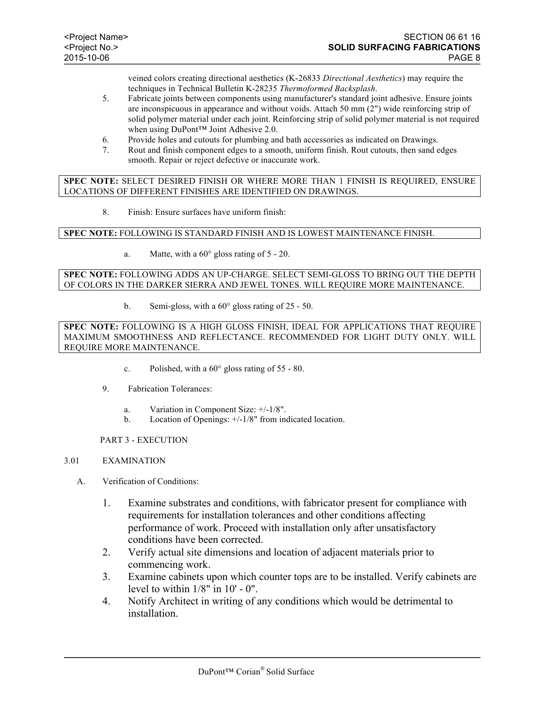veined colors creating directional aesthetics (K-26833 *Directional Aesthetics*) may require the techniques in Technical Bulletin K-28235 *Thermoformed Backsplash*.

- 5. Fabricate joints between components using manufacturer's standard joint adhesive. Ensure joints are inconspicuous in appearance and without voids. Attach 50 mm (2") wide reinforcing strip of solid polymer material under each joint. Reinforcing strip of solid polymer material is not required when using DuPont™ Joint Adhesive 2.0.
- 6. Provide holes and cutouts for plumbing and bath accessories as indicated on Drawings.
- 7. Rout and finish component edges to a smooth, uniform finish. Rout cutouts, then sand edges smooth. Repair or reject defective or inaccurate work.

**SPEC NOTE:** SELECT DESIRED FINISH OR WHERE MORE THAN 1 FINISH IS REQUIRED, ENSURE LOCATIONS OF DIFFERENT FINISHES ARE IDENTIFIED ON DRAWINGS.

8. Finish: Ensure surfaces have uniform finish:

### **SPEC NOTE:** FOLLOWING IS STANDARD FINISH AND IS LOWEST MAINTENANCE FINISH.

a. Matte, with a 60° gloss rating of 5 - 20.

### **SPEC NOTE:** FOLLOWING ADDS AN UP-CHARGE. SELECT SEMI-GLOSS TO BRING OUT THE DEPTH OF COLORS IN THE DARKER SIERRA AND JEWEL TONES. WILL REQUIRE MORE MAINTENANCE.

b. Semi-gloss, with a 60° gloss rating of 25 - 50.

**SPEC NOTE:** FOLLOWING IS A HIGH GLOSS FINISH, IDEAL FOR APPLICATIONS THAT REQUIRE MAXIMUM SMOOTHNESS AND REFLECTANCE. RECOMMENDED FOR LIGHT DUTY ONLY. WILL REQUIRE MORE MAINTENANCE.

- c. Polished, with a 60° gloss rating of 55 80.
- 9. Fabrication Tolerances:
	- a. Variation in Component Size: +/-1/8".
	- b. Location of Openings: +/-1/8" from indicated location.

PART 3 - EXECUTION

### 3.01 EXAMINATION

- A. Verification of Conditions:
	- 1. Examine substrates and conditions, with fabricator present for compliance with requirements for installation tolerances and other conditions affecting performance of work. Proceed with installation only after unsatisfactory conditions have been corrected.
	- 2. Verify actual site dimensions and location of adjacent materials prior to commencing work.
	- 3. Examine cabinets upon which counter tops are to be installed. Verify cabinets are level to within  $1/8$ " in  $10'$  -  $0"$ .
	- 4. Notify Architect in writing of any conditions which would be detrimental to installation.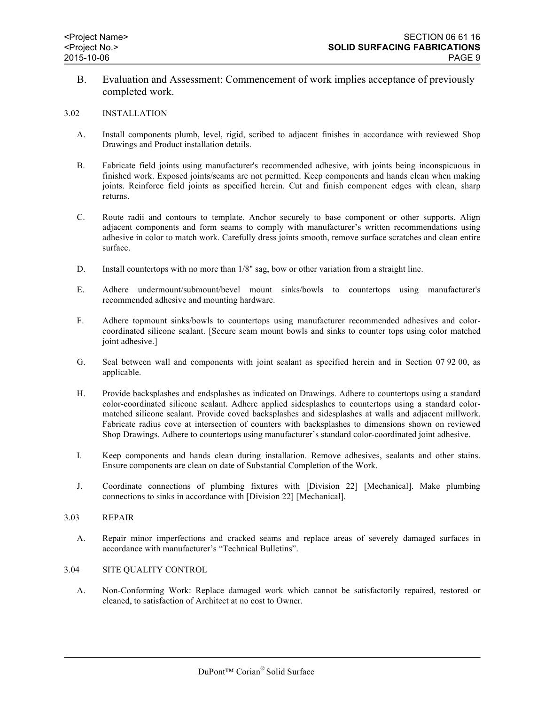B. Evaluation and Assessment: Commencement of work implies acceptance of previously completed work.

#### 3.02 INSTALLATION

- A. Install components plumb, level, rigid, scribed to adjacent finishes in accordance with reviewed Shop Drawings and Product installation details.
- B. Fabricate field joints using manufacturer's recommended adhesive, with joints being inconspicuous in finished work. Exposed joints/seams are not permitted. Keep components and hands clean when making joints. Reinforce field joints as specified herein. Cut and finish component edges with clean, sharp returns.
- C. Route radii and contours to template. Anchor securely to base component or other supports. Align adjacent components and form seams to comply with manufacturer's written recommendations using adhesive in color to match work. Carefully dress joints smooth, remove surface scratches and clean entire surface.
- D. Install countertops with no more than 1/8" sag, bow or other variation from a straight line.
- E. Adhere undermount/submount/bevel mount sinks/bowls to countertops using manufacturer's recommended adhesive and mounting hardware.
- F. Adhere topmount sinks/bowls to countertops using manufacturer recommended adhesives and colorcoordinated silicone sealant. [Secure seam mount bowls and sinks to counter tops using color matched joint adhesive.]
- G. Seal between wall and components with joint sealant as specified herein and in Section 07 92 00, as applicable.
- H. Provide backsplashes and endsplashes as indicated on Drawings. Adhere to countertops using a standard color-coordinated silicone sealant. Adhere applied sidesplashes to countertops using a standard colormatched silicone sealant. Provide coved backsplashes and sidesplashes at walls and adjacent millwork. Fabricate radius cove at intersection of counters with backsplashes to dimensions shown on reviewed Shop Drawings. Adhere to countertops using manufacturer's standard color-coordinated joint adhesive.
- I. Keep components and hands clean during installation. Remove adhesives, sealants and other stains. Ensure components are clean on date of Substantial Completion of the Work.
- J. Coordinate connections of plumbing fixtures with [Division 22] [Mechanical]. Make plumbing connections to sinks in accordance with [Division 22] [Mechanical].
- 3.03 REPAIR
	- A. Repair minor imperfections and cracked seams and replace areas of severely damaged surfaces in accordance with manufacturer's "Technical Bulletins".
- 3.04 SITE QUALITY CONTROL
	- A. Non-Conforming Work: Replace damaged work which cannot be satisfactorily repaired, restored or cleaned, to satisfaction of Architect at no cost to Owner.